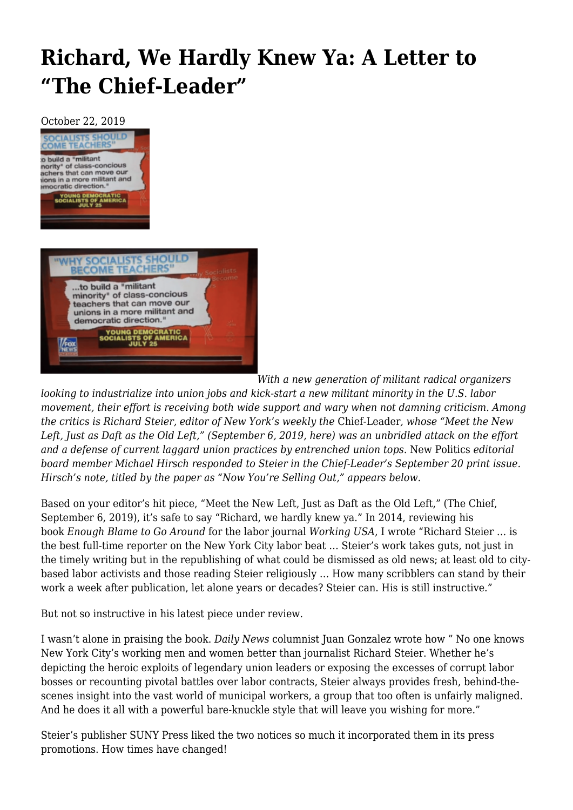## **[Richard, We Hardly Knew Ya: A Letter to](https://newpol.org/richard-we-hardly-knew-ya-a-letter-to-the-chief-leader/) ["The Chief-Leader"](https://newpol.org/richard-we-hardly-knew-ya-a-letter-to-the-chief-leader/)**

October 22, 2019



*With a new generation of militant radical organizers*

*looking to industrialize into union jobs and kick-start a new militant minority in the U.S. labor movement, their effort is receiving both wide support and wary when not damning criticism. Among the critics is Richard Steier, editor of New York's weekly the* Chief-Leader*, whose "Meet the New* Left, Just as Daft as the Old Left," (September 6, 2019, [here\)](https://thechiefleader.com/opinion/columns/razzle_dazzle/meet-the-new-left-just-as-daft-as-the-old/article_08420dd6-ca6c-11e9-bb59-03e5f7b145bd.html) was an unbridled attack on the effort *and a defense of current laggard union practices by entrenched union tops.* New Politics *editorial board member Michael Hirsch responded to Steier in the Chief-Leader's September 20 print issue. Hirsch's note, titled by the paper as "Now You're Selling Out," appears below.* 

Based on your editor's hit piece, "Meet the New Left, Just as Daft as the Old Left," (The Chief, September 6, 2019), it's safe to say "Richard, we hardly knew ya." In 2014, reviewing his book *Enough Blame to Go Around* for the labor journal *Working USA*, I wrote "Richard Steier … is the best full-time reporter on the New York City labor beat … Steier's work takes guts, not just in the timely writing but in the republishing of what could be dismissed as old news; at least old to citybased labor activists and those reading Steier religiously … How many scribblers can stand by their work a week after publication, let alone years or decades? Steier can. His is still instructive."

But not so instructive in his latest piece under review.

I wasn't alone in praising the book. *Daily News* columnist Juan Gonzalez wrote how " No one knows New York City's working men and women better than journalist Richard Steier. Whether he's depicting the heroic exploits of legendary union leaders or exposing the excesses of corrupt labor bosses or recounting pivotal battles over labor contracts, Steier always provides fresh, behind-thescenes insight into the vast world of municipal workers, a group that too often is unfairly maligned. And he does it all with a powerful bare-knuckle style that will leave you wishing for more."

Steier's publisher SUNY Press liked the two notices so much it incorporated them in its press promotions. How times have changed!